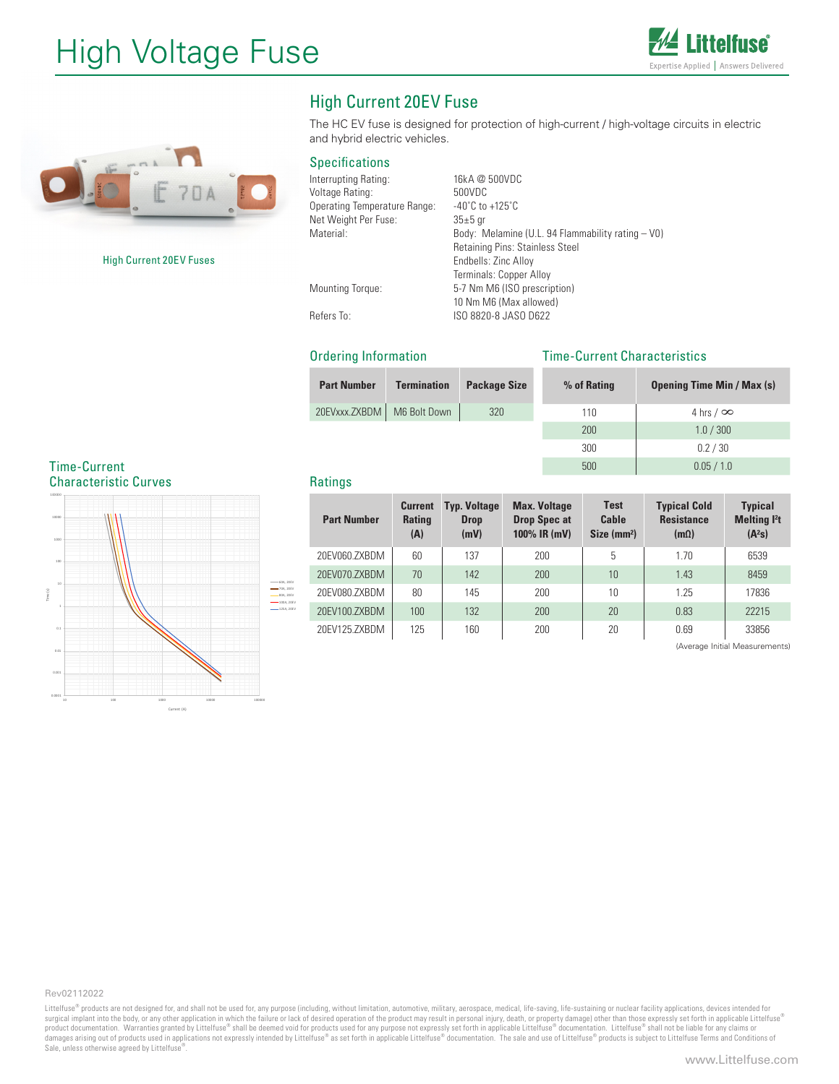



High Current 20EV Fuses

# High Current 20EV Fuse

The HC EV fuse is designed for protection of high-current / high-voltage circuits in electric and hybrid electric vehicles.

## Specifications

| Interrupting Rating:         | 16kA @ 500VDC                                     |
|------------------------------|---------------------------------------------------|
| Voltage Rating:              | 500VDC                                            |
| Operating Temperature Range: | $-40^{\circ}$ C to $+125^{\circ}$ C               |
| Net Weight Per Fuse:         | $35±5$ gr                                         |
| Material:                    | Body: Melamine (U.L. 94 Flammability rating - V0) |
|                              | Retaining Pins: Stainless Steel                   |
|                              | Endbells: Zinc Alloy                              |
|                              | Terminals: Copper Alloy                           |
| <b>Mounting Torque:</b>      | 5-7 Nm M6 (ISO prescription)                      |
|                              | 10 Nm M6 (Max allowed)                            |

Refers To: ISO 8820-8 JASO D622

Ordering Information

# Time-Current Characteristics

500 0.05 / 1.0

| <b>Part Number</b> | <b>Termination</b> | <b>Package Size</b> | % of Rating | <b>Opening Time Min / Max (s)</b> |
|--------------------|--------------------|---------------------|-------------|-----------------------------------|
| 20EVxxx.ZXBDM      | M6 Bolt Down       | 320                 | 110         | 4 hrs $/$ $\infty$                |
|                    |                    |                     | 200         | 1.0 / 300                         |
|                    |                    |                     | 300         | 0.2 / 30                          |

### Time-Current Characteristic Curves



# **Ratings**

| <b>Part Number</b> | <b>Current</b><br><b>Rating</b><br>(A) | <b>Typ. Voltage</b><br><b>Drop</b><br>(mV) | <b>Max. Voltage</b><br><b>Drop Spec at</b><br>100% IR (mV) | <b>Test</b><br>Cable<br>Size (mm <sup>2</sup> ) | <b>Typical Cold</b><br><b>Resistance</b><br>$(m\Omega)$ | <b>Typical</b><br><b>Melting l't</b><br>(A <sup>2</sup> S) |
|--------------------|----------------------------------------|--------------------------------------------|------------------------------------------------------------|-------------------------------------------------|---------------------------------------------------------|------------------------------------------------------------|
| 20EV060.ZXBDM      | 60                                     | 137                                        | 200                                                        | 5                                               | 1.70                                                    | 6539                                                       |
| 20EV070.ZXBDM      | 70                                     | 142                                        | 200                                                        | 10                                              | 1.43                                                    | 8459                                                       |
| 20EV080.ZXBDM      | 80                                     | 145                                        | 200                                                        | 10                                              | 1.25                                                    | 17836                                                      |
| 20EV100.ZXBDM      | 100                                    | 132                                        | 200                                                        | 20                                              | 0.83                                                    | 22215                                                      |
| 20EV125.ZXBDM      | 125                                    | 160                                        | 200                                                        | 20                                              | 0.69                                                    | 33856                                                      |

(Average Initial Measurements)

#### Rev02112022

Littelfuse® products are not designed for, and shall not be used for, any purpose (including, without limitation, automotive, military, aerospace, medical, life-saving, life-sustaining or nuclear facility applications, dev surgical implant into the body, or any other application in which the failure or lack of desired operation of the product may result in personal injury, death, or property damage) other than those expressly set forth in ap Sale, unless otherwise agreed by Littelfuse<sup>®</sup>